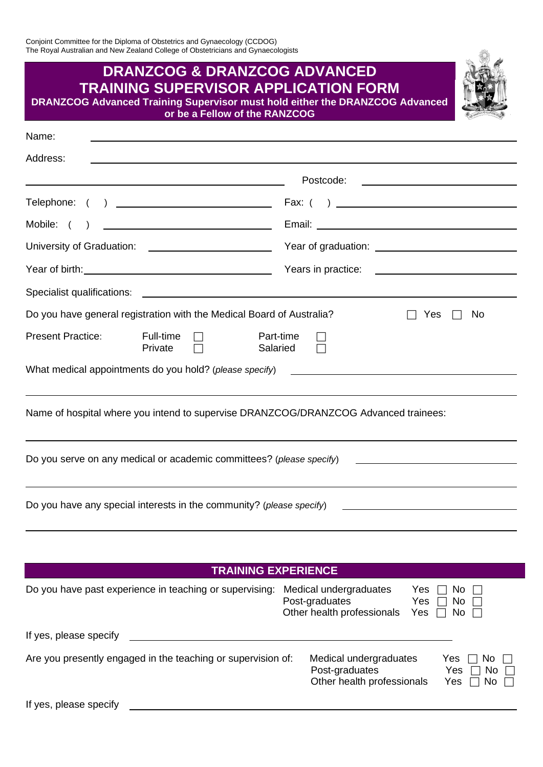| The Royal Australian and New Zealand College of Obstetricians and Gynaecologists                                                                                                                                               |                                                               |  |  |
|--------------------------------------------------------------------------------------------------------------------------------------------------------------------------------------------------------------------------------|---------------------------------------------------------------|--|--|
| <b>DRANZCOG &amp; DRANZCOG ADVANCED</b><br><b>TRAINING SUPERVISOR APPLICATION FORM</b><br><b>DRANZCOG Advanced Training Supervisor must hold either the DRANZCOG Advanced</b><br>or be a Fellow of the RANZCOG                 |                                                               |  |  |
| Name:<br>的,我们也不会有什么。""我们的人,我们也不会有什么?""我们的人,我们也不会有什么?""我们的人,我们也不会有什么?""我们的人,我们也不会有什么?""我们的                                                                                                                                      |                                                               |  |  |
| Address:                                                                                                                                                                                                                       |                                                               |  |  |
| <u> 1980 - Johann Barbara, martin amerikan basar dan berasal dan berasal dalam basar dalam basar dalam basar dala</u>                                                                                                          |                                                               |  |  |
|                                                                                                                                                                                                                                |                                                               |  |  |
| Mobile: (<br>$\lambda$                                                                                                                                                                                                         |                                                               |  |  |
| University of Graduation: \\equimeanable control control control control control control control control control control control control control control control control control control control control control control contr |                                                               |  |  |
|                                                                                                                                                                                                                                |                                                               |  |  |
|                                                                                                                                                                                                                                |                                                               |  |  |
| Do you have general registration with the Medical Board of Australia?<br>No<br>Yes                                                                                                                                             |                                                               |  |  |
| <b>Present Practice:</b><br>Full-time<br>Private                                                                                                                                                                               | Part-time<br>Salaried                                         |  |  |
| What medical appointments do you hold? (please specify)                                                                                                                                                                        | <u> 1989 - Andrea Stadt Britain, fransk politik (d. 1989)</u> |  |  |
| Name of hospital where you intend to supervise DRANZCOG/DRANZCOG Advanced trainees:                                                                                                                                            |                                                               |  |  |
| Do you serve on any medical or academic committees? (please specify)                                                                                                                                                           |                                                               |  |  |
| Do you have any special interests in the community? (please specify)                                                                                                                                                           |                                                               |  |  |
|                                                                                                                                                                                                                                |                                                               |  |  |

| <b>TRAINING EXPERIENCE</b>                                   |                                                                                                                                                  |  |  |  |  |  |
|--------------------------------------------------------------|--------------------------------------------------------------------------------------------------------------------------------------------------|--|--|--|--|--|
| Do you have past experience in teaching or supervising:      | Medical undergraduates<br>Yes<br>No.<br>Post-graduates<br>No<br>Yes<br>Other health professionals<br>Yes<br>No $\Box$                            |  |  |  |  |  |
| If yes, please specify                                       |                                                                                                                                                  |  |  |  |  |  |
| Are you presently engaged in the teaching or supervision of: | Medical undergraduates<br>Yes<br>No.<br>Post-graduates<br>$\overline{N}$ o $\overline{\Box}$<br>Yes<br>Other health professionals<br>Yes<br>No l |  |  |  |  |  |

If yes, please specify